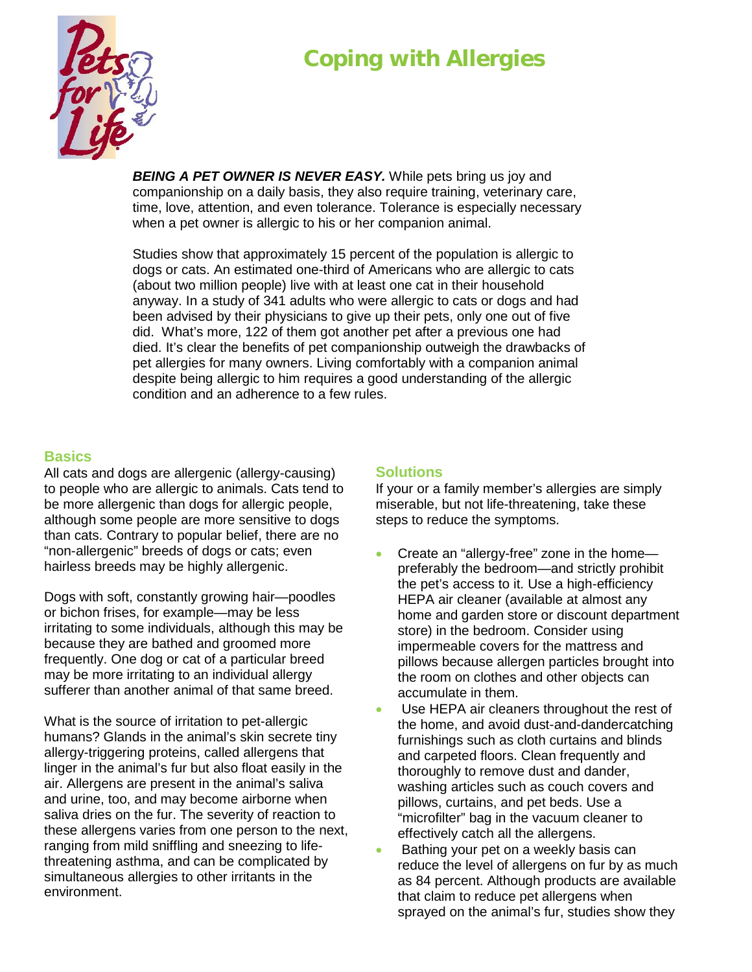## **Coping with Allergies**



**BEING A PET OWNER IS NEVER EASY.** While pets bring us joy and companionship on a daily basis, they also require training, veterinary care, time, love, attention, and even tolerance. Tolerance is especially necessary when a pet owner is allergic to his or her companion animal.

Studies show that approximately 15 percent of the population is allergic to dogs or cats. An estimated one-third of Americans who are allergic to cats (about two million people) live with at least one cat in their household anyway. In a study of 341 adults who were allergic to cats or dogs and had been advised by their physicians to give up their pets, only one out of five did. What's more, 122 of them got another pet after a previous one had died. It's clear the benefits of pet companionship outweigh the drawbacks of pet allergies for many owners. Living comfortably with a companion animal despite being allergic to him requires a good understanding of the allergic condition and an adherence to a few rules.

## **Basics**

All cats and dogs are allergenic (allergy-causing) to people who are allergic to animals. Cats tend to be more allergenic than dogs for allergic people, although some people are more sensitive to dogs than cats. Contrary to popular belief, there are no "non-allergenic" breeds of dogs or cats; even hairless breeds may be highly allergenic.

Dogs with soft, constantly growing hair—poodles or bichon frises, for example—may be less irritating to some individuals, although this may be because they are bathed and groomed more frequently. One dog or cat of a particular breed may be more irritating to an individual allergy sufferer than another animal of that same breed.

What is the source of irritation to pet-allergic humans? Glands in the animal's skin secrete tiny allergy-triggering proteins, called allergens that linger in the animal's fur but also float easily in the air. Allergens are present in the animal's saliva and urine, too, and may become airborne when saliva dries on the fur. The severity of reaction to these allergens varies from one person to the next, ranging from mild sniffling and sneezing to lifethreatening asthma, and can be complicated by simultaneous allergies to other irritants in the environment.

## **Solutions**

If your or a family member's allergies are simply miserable, but not life-threatening, take these steps to reduce the symptoms.

- Create an "allergy-free" zone in the homepreferably the bedroom—and strictly prohibit the pet's access to it. Use a high-efficiency HEPA air cleaner (available at almost any home and garden store or discount department store) in the bedroom. Consider using impermeable covers for the mattress and pillows because allergen particles brought into the room on clothes and other objects can accumulate in them.
- Use HEPA air cleaners throughout the rest of the home, and avoid dust-and-dandercatching furnishings such as cloth curtains and blinds and carpeted floors. Clean frequently and thoroughly to remove dust and dander, washing articles such as couch covers and pillows, curtains, and pet beds. Use a "microfilter" bag in the vacuum cleaner to effectively catch all the allergens.
- Bathing your pet on a weekly basis can reduce the level of allergens on fur by as much as 84 percent. Although products are available that claim to reduce pet allergens when sprayed on the animal's fur, studies show they